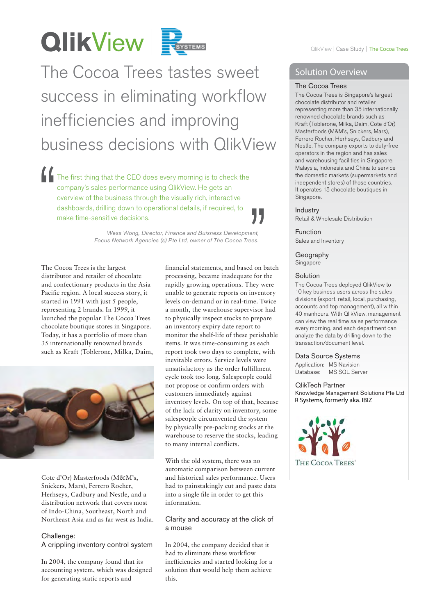# **QlikView Forgress**

## The Cocoa Trees tastes sweet success in eliminating workflow inefficiencies and improving business decisions with QlikView

The first thing that the CEO does every morning is to check the company's sales performance using QlikView. He gets an overview of the business through the visually rich, interactive dashboards, drilling down to operational details, if required, to make time-sensitive decisions. "

*Wess Wong, Director, Finance and Buisness Development, Focus Network Agencies (s) Pte Ltd, owner of The Cocoa Trees.*  $\left\{\begin{array}{c} \rule{0pt}{2ex} \rule{0pt}{2ex} \rule{0pt}{2ex} \rule{0pt}{2ex} \rule{0pt}{2ex} \rule{0pt}{2ex} \rule{0pt}{2ex} \rule{0pt}{2ex} \rule{0pt}{2ex} \rule{0pt}{2ex} \rule{0pt}{2ex} \rule{0pt}{2ex} \rule{0pt}{2ex} \rule{0pt}{2ex} \rule{0pt}{2ex} \rule{0pt}{2ex} \rule{0pt}{2ex} \rule{0pt}{2ex} \rule{0pt}{2ex} \rule{0pt}{2ex} \rule{0pt}{2ex} \rule{0pt}{2ex} \rule{0pt}{2ex} \rule{$ 

The Cocoa Trees is the largest distributor and retailer of chocolate and confectionary products in the Asia Pacific region. A local success story, it started in 1991 with just 5 people, representing 2 brands. In 1999, it launched the popular The Cocoa Trees chocolate boutique stores in Singapore. Today, it has a portfolio of more than 35 internationally renowned brands such as Kraft (Toblerone, Milka, Daim,



Cote d'Or) Masterfoods (M&M's, Snickers, Mars), Ferrero Rocher, Herhseys, Cadbury and Nestle, and a distribution network that covers most of Indo-China, Southeast, North and Northeast Asia and as far west as India.

#### Challenge:

A crippling inventory control system

In 2004, the company found that its accounting system, which was designed for generating static reports and

financial statements, and based on batch processing, became inadequate for the rapidly growing operations. They were unable to generate reports on inventory levels on-demand or in real-time. Twice a month, the warehouse supervisor had to physically inspect stocks to prepare an inventory expiry date report to monitor the shelf-life of these perishable items. It was time-consuming as each report took two days to complete, with inevitable errors. Service levels were unsatisfactory as the order fulfillment cycle took too long. Salespeople could not propose or confirm orders with customers immediately against inventory levels. On top of that, because of the lack of clarity on inventory, some salespeople circumvented the system by physically pre-packing stocks at the warehouse to reserve the stocks, leading to many internal conflicts.

With the old system, there was no automatic comparison between current and historical sales performance. Users had to painstakingly cut and paste data into a single file in order to get this information.

#### Clarity and accuracy at the click of a mouse

In 2004, the company decided that it had to eliminate these workflow ine fficiencies and started looking for a solution that would help them achieve this.

#### Solution Overview

#### The Cocoa Trees

The Cocoa Trees is Singapore's largest chocolate distributor and retailer representing more than 35 internationally renowned chocolate brands such as Kraft (Toblerone, Milka, Daim, Cote d'Or) Masterfoods (M&M's, Snickers, Mars), Ferrero Rocher, Herhseys, Cadbury and Nestle. The company exports to duty-free operators in the region and has sales and warehousing facilities in Singapore, Malaysia, Indonesia and China to service the domestic markets (supermarkets and independent stores) of those countries. It operates 15 chocolate boutiques in Singapore.

#### Industry

Retail & Wholesale Distribution

Function Sales and Inventory

#### Geography Singapore

#### **Solution**

The Cocoa Trees deployed QlikView to 10 key business users across the sales divisions (export, retail, local, purchasing, accounts and top management), all within 40 manhours. With QlikView, management can view the real time sales performance every morning, and each department can analyze the data by drilling down to the transaction/document level.

#### Data Source Systems

Application: MS Navision Database: MS SQL Server

### QlikTech Partner

Knowledge Management Solutions Pte Ltd R Systems, formerly aka. IBIZ